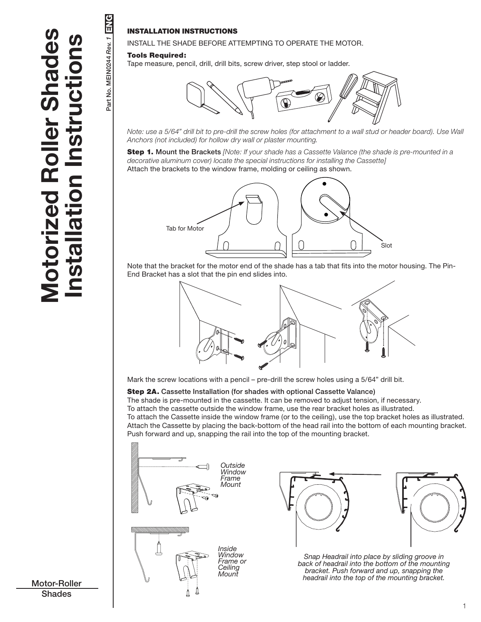### INSTALLATION INSTRUCTIONS

#### INSTALL THE SHADE BEFORE ATTEMPTING TO OPERATE THE MOTOR.

### Tools Required:

Part No. MEIN0244 *Rev. 1* ENG

Part No. MEIN0244 Rev. 1

ENG

Tape measure, pencil, drill, drill bits, screw driver, step stool or ladder.



*Note: use a 5/64" drill bit to pre-drill the screw holes (for attachment to a wall stud or header board). Use Wall Anchors (not included) for hollow dry wall or plaster mounting.*

Step 1. Mount the Brackets *[Note: If your shade has a Cassette Valance (the shade is pre-mounted in a decorative aluminum cover) locate the special instructions for installing the Cassette]* Attach the brackets to the window frame, molding or ceiling as shown.



Note that the bracket for the motor end of the shade has a tab that fits into the motor housing. The Pin-End Bracket has a slot that the pin end slides into.



Mark the screw locations with a pencil – pre-drill the screw holes using a 5/64" drill bit.

#### Step 2A. Cassette Installation (for shades with optional Cassette Valance)

The shade is pre-mounted in the cassette. It can be removed to adjust tension, if necessary. To attach the cassette outside the window frame, use the rear bracket holes as illustrated. To attach the Cassette inside the window frame (or to the ceiling), use the top bracket holes as illustrated. Attach the Cassette by placing the back-bottom of the head rail into the bottom of each mounting bracket. Push forward and up, snapping the rail into the top of the mounting bracket.



Motor-Roller **Shades**